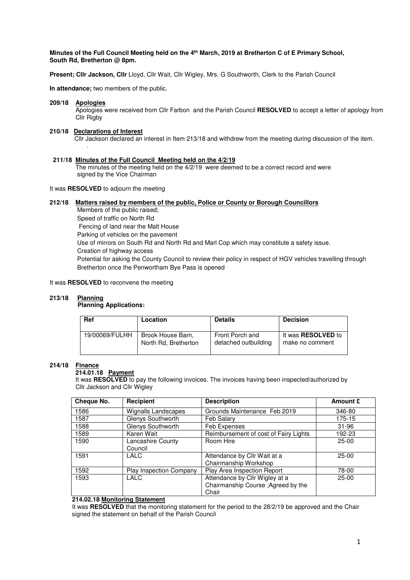#### **Minutes of the Full Council Meeting held on the 4th March, 2019 at Bretherton C of E Primary School, South Rd, Bretherton @ 8pm.**

**Present; Cllr Jackson, Cllr** Lloyd, Cllr Wait, Cllr Wigley, Mrs. G Southworth, Clerk to the Parish Council

**In attendance;** two members of the public.

#### **209/18 Apologies**

 Apologies were received from Cllr Farbon and the Parish Council **RESOLVED** to accept a letter of apology from Cllr Rigby

#### **210/18 Declarations of Interest**

.

Cllr Jackson declared an interest in Item 213/18 and withdrew from the meeting during discussion of the item.

#### **211/18 Minutes of the Full Council Meeting held on the 4/2/19**

The minutes of the meeting held on the 4/2/19 were deemed to be a correct record and were signed by the Vice Chairman

It was **RESOLVED** to adjourn the meeting

### **212/18 Matters raised by members of the public, Police or County or Borough Councillors**

 Members of the public raised; Speed of traffic on North Rd Fencing of land near the Malt House Parking of vehicles on the pavement Use of mirrors on South Rd and North Rd and Marl Cop which may constitute a safety issue. Creation of highway access Potential for asking the County Council to review their policy in respect of HGV vehicles travelling through Bretherton once the Penwortham Bye Pass is opened

### It was **RESOLVED** to reconvene the meeting

#### 213/18 **213/18 Planning**

## **Planning Applications:**

| <b>Ref</b>     | Location             | <b>Details</b>       | <b>Decision</b>           |
|----------------|----------------------|----------------------|---------------------------|
| 19/00069/FULHH | Brook House Barn,    | Front Porch and      | It was <b>RESOLVED</b> to |
|                | North Rd, Bretherton | detached outbuilding | make no comment           |

# **214/18 Finance**

## **214.01.18 Payment**

It was **RESOLVED** to pay the following invoices. The invoices having been inspected/authorized by Cllr Jackson and Cllr Wigley

| Cheque No. | Recipient                      | <b>Description</b>                                                             | <b>Amount £</b> |
|------------|--------------------------------|--------------------------------------------------------------------------------|-----------------|
| 1586       | Wignalls Landscapes            | Grounds Maintenance Feb 2019                                                   | 346-80          |
| 1587       | Glenys Southworth              | Feb Salary                                                                     | 175-15          |
| 1588       | Glenys Southworth              | Feb Expenses                                                                   | $31 - 96$       |
| 1589       | Karen Wait                     | Reimbursement of cost of Fairy Lights                                          | 192-23          |
| 1590       | Lancashire County<br>Council   | Room Hire                                                                      | $25-00$         |
| 1591       | LALC                           | Attendance by Cllr Wait at a<br>Chairmanship Workshop                          | $25-00$         |
| 1592       | <b>Play Inspection Company</b> | Play Area Inspection Report                                                    | 78-00           |
| 1593       | LALC                           | Attendance by Cllr Wigley at a<br>Chairmanship Course ; Agreed by the<br>Chair | $25-00$         |

### **214.02.18 Monitoring Statement**

It was **RESOLVED** that the monitoring statement for the period to the 28/2/19 be approved and the Chair signed the statement on behalf of the Parish Council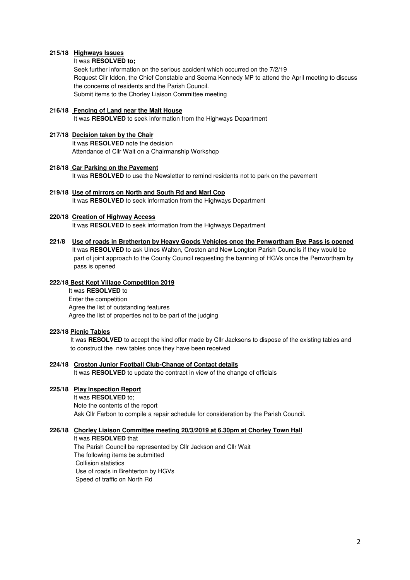#### **215/18 Highways Issues**

#### It was **RESOLVED to;**

Seek further information on the serious accident which occurred on the 7/2/19 Request Cllr Iddon, the Chief Constable and Seema Kennedy MP to attend the April meeting to discuss the concerns of residents and the Parish Council. Submit items to the Chorley Liaison Committee meeting

## 2**16/18 Fencing of Land near the Malt House**

It was **RESOLVED** to seek information from the Highways Department

### **217/18 Decision taken by the Chair**

 It was **RESOLVED** note the decision Attendance of Cllr Wait on a Chairmanship Workshop

#### **218/18 Car Parking on the Pavement**

It was **RESOLVED** to use the Newsletter to remind residents not to park on the pavement

## **219/18 Use of mirrors on North and South Rd and Marl Cop**

It was **RESOLVED** to seek information from the Highways Department

### **220/18 Creation of Highway Access**

It was **RESOLVED** to seek information from the Highways Department

**221/8 Use of roads in Bretherton by Heavy Goods Vehicles once the Penwortham Bye Pass is opened** It was **RESOLVED** to ask Ulnes Walton, Croston and New Longton Parish Councils if they would be part of joint approach to the County Council requesting the banning of HGVs once the Penwortham by pass is opened

## **222/18 Best Kept Village Competition 2019**

 It was **RESOLVED** to Enter the competition Agree the list of outstanding features Agree the list of properties not to be part of the judging

#### **223/18 Picnic Tables**

 It was **RESOLVED** to accept the kind offer made by Cllr Jacksons to dispose of the existing tables and to construct the new tables once they have been received

**224/18 Croston Junior Football Club-Change of Contact details**  It was **RESOLVED** to update the contract in view of the change of officials

# **225/18 Play Inspection Report**

It was **RESOLVED** to; Note the contents of the report Ask Cllr Farbon to compile a repair schedule for consideration by the Parish Council.

#### **226/18 Chorley Liaison Committee meeting 20/3/2019 at 6.30pm at Chorley Town Hall**

 It was **RESOLVED** that The Parish Council be represented by Cllr Jackson and Cllr Wait The following items be submitted Collision statistics Use of roads in Brehterton by HGVs Speed of traffic on North Rd